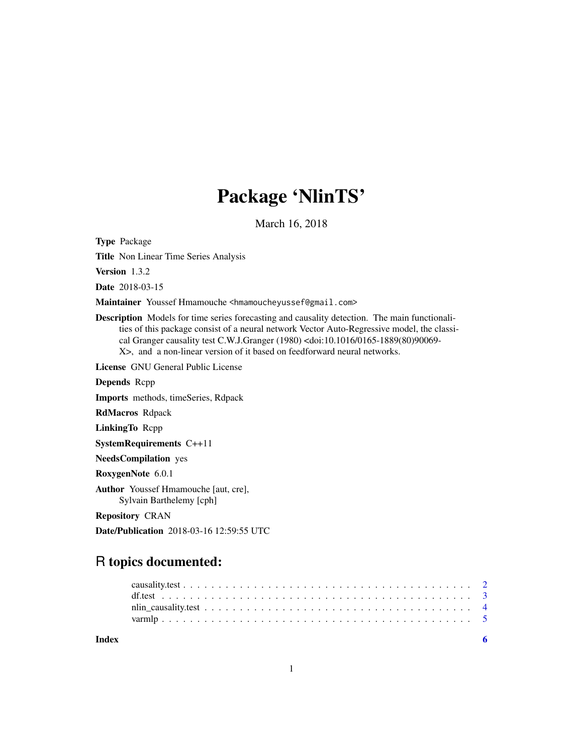## Package 'NlinTS'

March 16, 2018

Type Package Title Non Linear Time Series Analysis Version 1.3.2 Date 2018-03-15 Maintainer Youssef Hmamouche <hmamoucheyussef@gmail.com> Description Models for time series forecasting and causality detection. The main functionalities of this package consist of a neural network Vector Auto-Regressive model, the classical Granger causality test C.W.J.Granger (1980) <doi:10.1016/0165-1889(80)90069- X>, and a non-linear version of it based on feedforward neural networks. License GNU General Public License Depends Rcpp Imports methods, timeSeries, Rdpack RdMacros Rdpack LinkingTo Rcpp SystemRequirements C++11 NeedsCompilation yes RoxygenNote 6.0.1 Author Youssef Hmamouche [aut, cre], Sylvain Barthelemy [cph] Repository CRAN

Date/Publication 2018-03-16 12:59:55 UTC

### R topics documented:

| Index |  |  |  |  |  |  |  |  |  |  |  |  |  |  |  |  |  |
|-------|--|--|--|--|--|--|--|--|--|--|--|--|--|--|--|--|--|
|       |  |  |  |  |  |  |  |  |  |  |  |  |  |  |  |  |  |
|       |  |  |  |  |  |  |  |  |  |  |  |  |  |  |  |  |  |
|       |  |  |  |  |  |  |  |  |  |  |  |  |  |  |  |  |  |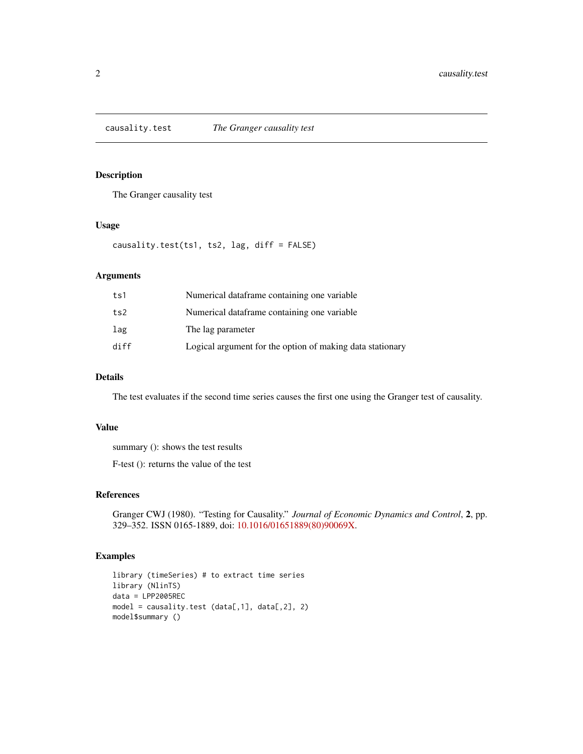<span id="page-1-0"></span>

#### Description

The Granger causality test

#### Usage

causality.test(ts1, ts2, lag, diff = FALSE)

#### Arguments

| ts1  | Numerical dataframe containing one variable               |
|------|-----------------------------------------------------------|
| ts2  | Numerical dataframe containing one variable               |
| lag  | The lag parameter                                         |
| diff | Logical argument for the option of making data stationary |

#### Details

The test evaluates if the second time series causes the first one using the Granger test of causality.

#### Value

summary (): shows the test results

F-test (): returns the value of the test

#### References

Granger CWJ (1980). "Testing for Causality." *Journal of Economic Dynamics and Control*, 2, pp. 329–352. ISSN 0165-1889, doi: [10.1016/01651889\(80\)90069X.](http://doi.org/10.1016/0165-1889(80)90069-X)

```
library (timeSeries) # to extract time series
library (NlinTS)
data = LPP2005REC
model = causality.test (data[,1], data[,2], 2)
model$summary ()
```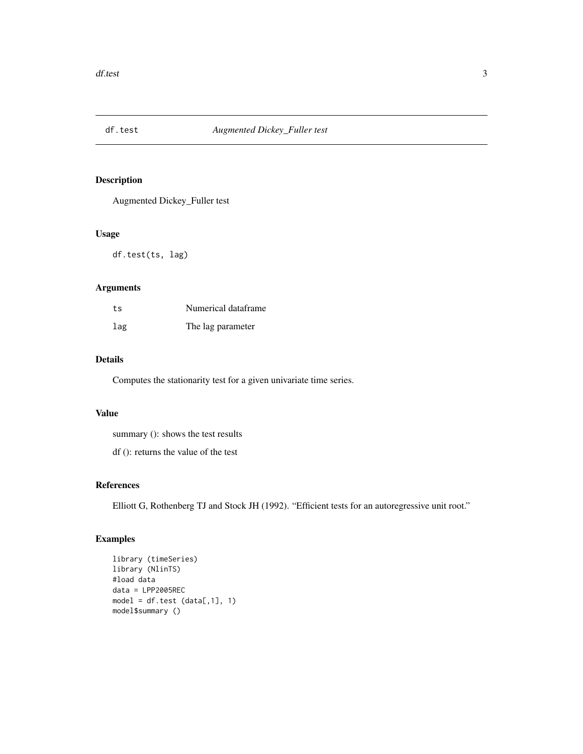<span id="page-2-0"></span>

#### Description

Augmented Dickey\_Fuller test

#### Usage

df.test(ts, lag)

#### Arguments

| ts  | Numerical dataframe |
|-----|---------------------|
| lag | The lag parameter   |

#### Details

Computes the stationarity test for a given univariate time series.

#### Value

summary (): shows the test results

df (): returns the value of the test

#### References

Elliott G, Rothenberg TJ and Stock JH (1992). "Efficient tests for an autoregressive unit root."

```
library (timeSeries)
library (NlinTS)
#load data
data = LPP2005REC
model = df.test (data[, 1], 1)model$summary ()
```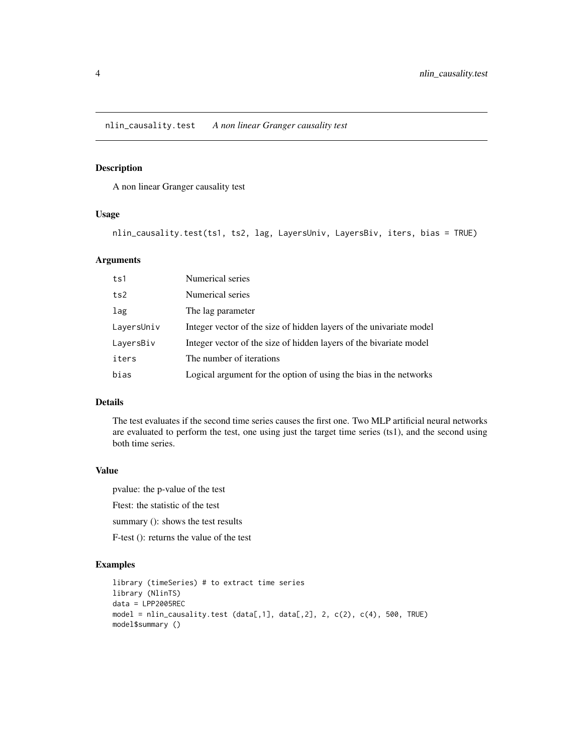<span id="page-3-0"></span>nlin\_causality.test *A non linear Granger causality test*

#### Description

A non linear Granger causality test

#### Usage

nlin\_causality.test(ts1, ts2, lag, LayersUniv, LayersBiv, iters, bias = TRUE)

#### Arguments

| ts1        | Numerical series                                                    |
|------------|---------------------------------------------------------------------|
| ts2        | Numerical series                                                    |
| lag        | The lag parameter                                                   |
| LayersUniv | Integer vector of the size of hidden layers of the univariate model |
| LayersBiv  | Integer vector of the size of hidden layers of the bivariate model  |
| iters      | The number of iterations                                            |
| bias       | Logical argument for the option of using the bias in the networks   |

#### Details

The test evaluates if the second time series causes the first one. Two MLP artificial neural networks are evaluated to perform the test, one using just the target time series (ts1), and the second using both time series.

#### Value

pvalue: the p-value of the test

Ftest: the statistic of the test

summary (): shows the test results

F-test (): returns the value of the test

```
library (timeSeries) # to extract time series
library (NlinTS)
data = LPP2005REC
model = nlin_causality.test (data[,1], data[,2], 2, c(2), c(4), 500, TRUE)
model$summary ()
```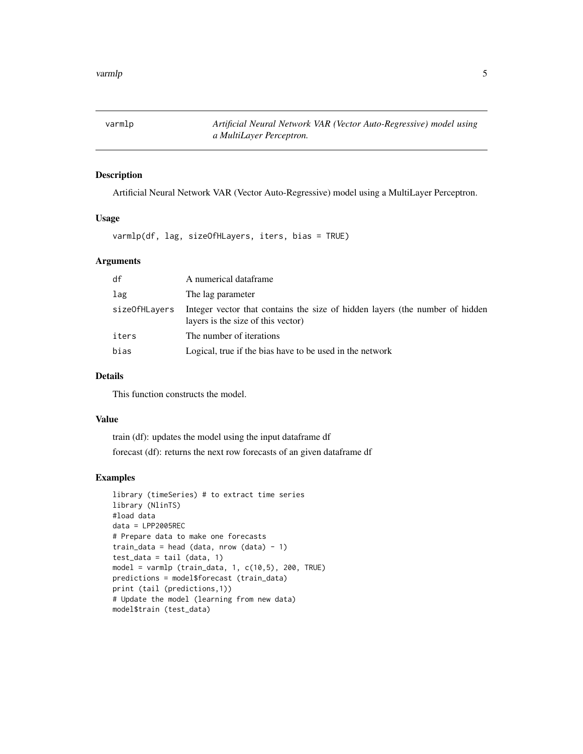<span id="page-4-0"></span>varmlp *Artificial Neural Network VAR (Vector Auto-Regressive) model using a MultiLayer Perceptron.*

#### Description

Artificial Neural Network VAR (Vector Auto-Regressive) model using a MultiLayer Perceptron.

#### Usage

varmlp(df, lag, sizeOfHLayers, iters, bias = TRUE)

#### Arguments

| df            | A numerical dataframe                                                                                              |
|---------------|--------------------------------------------------------------------------------------------------------------------|
| lag           | The lag parameter                                                                                                  |
| sizeOfHLayers | Integer vector that contains the size of hidden layers (the number of hidden<br>layers is the size of this vector) |
| iters         | The number of iterations                                                                                           |
| bias          | Logical, true if the bias have to be used in the network                                                           |

#### Details

This function constructs the model.

#### Value

train (df): updates the model using the input dataframe df forecast (df): returns the next row forecasts of an given dataframe df

```
library (timeSeries) # to extract time series
library (NlinTS)
#load data
data = LPP2005REC
# Prepare data to make one forecasts
train_data = head (data, nrow (data) - 1)
test_data = tail (data, 1)model = varmlp (train_data, 1, c(10,5), 200, TRUE)
predictions = model$forecast (train_data)
print (tail (predictions,1))
# Update the model (learning from new data)
model$train (test_data)
```